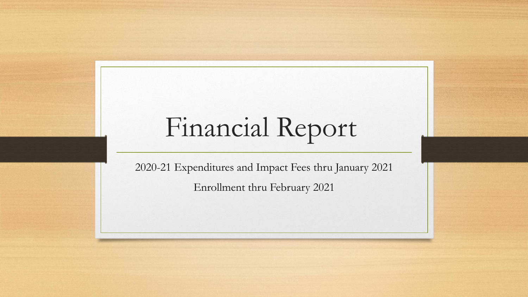## Financial Report

2020-21 Expenditures and Impact Fees thru January 2021 Enrollment thru February 2021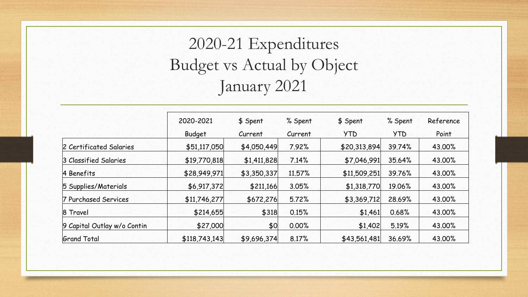## 2020-21 Expenditures Budget vs Actual by Object January 2021

|                             | 2020-2021     | \$ Spent    | % Spent | \$ Spent     | % Spent    | Reference |  |
|-----------------------------|---------------|-------------|---------|--------------|------------|-----------|--|
|                             | <b>Budget</b> | Current     | Current | <b>YTD</b>   | <b>YTD</b> | Point     |  |
| 2 Certificated Salaries     | \$51,117,050  | \$4,050,449 | 7.92%   | \$20,313,894 | 39.74%     | 43.00%    |  |
| 3 Classified Salaries       | \$19,770,818  | \$1,411,828 | 7.14%   | \$7,046,991  | 35.64%     | 43.00%    |  |
| 4 Benefits                  | \$28,949,971  | \$3,350,337 | 11.57%  | \$11,509,251 | 39.76%     | 43.00%    |  |
| 5 Supplies/Materials        | \$6,917,372   | \$211,166   | 3.05%   | \$1,318,770  | 19.06%     | 43.00%    |  |
| 7 Purchased Services        | \$11,746,277  | \$672,276   | 5.72%   | \$3,369,712  | 28.69%     | 43.00%    |  |
| 8 Travel                    | \$214,655     | \$318       | 0.15%   | \$1,461      | 0.68%      | 43.00%    |  |
| 9 Capital Outlay w/o Contin | \$27,000      | \$0         | 0.00%   | \$1,402      | 5.19%      | 43.00%    |  |
| <b>Grand Total</b>          | \$118,743,143 | \$9,696,374 | 8.17%   | \$43,561,481 | 36.69%     | 43.00%    |  |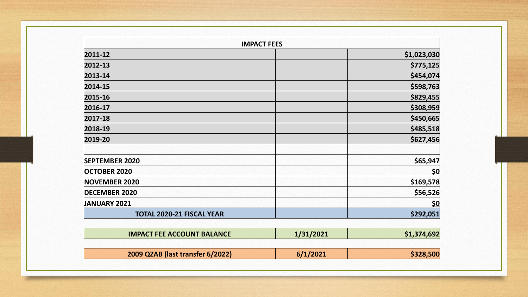| <b>IMPACT FEES</b>               |             |  |  |  |
|----------------------------------|-------------|--|--|--|
| 2011-12                          | \$1,023,030 |  |  |  |
| 2012-13                          | \$775,125   |  |  |  |
| 2013-14                          | \$454,074   |  |  |  |
| 2014-15                          | \$598,763   |  |  |  |
| 2015-16                          | \$829,455   |  |  |  |
| 2016-17                          | \$308,959   |  |  |  |
| 2017-18                          | \$450,665   |  |  |  |
| 2018-19                          | \$485,518   |  |  |  |
| 2019-20                          | \$627,456   |  |  |  |
| <b>SEPTEMBER 2020</b>            | \$65,947    |  |  |  |
| <b>OCTOBER 2020</b>              | \$0         |  |  |  |
| <b>NOVEMBER 2020</b>             | \$169,578   |  |  |  |
| <b>DECEMBER 2020</b>             | \$56,526    |  |  |  |
| <b>JANUARY 2021</b>              | <u>\$0</u>  |  |  |  |
| <b>TOTAL 2020-21 FISCAL YEAR</b> | \$292,051   |  |  |  |

| <b>IMPACT FEE ACCOUNT BALANCE</b> | 1/31/2021 | \$1,374,692 |
|-----------------------------------|-----------|-------------|
| 2009 QZAB (last transfer 6/2022)  | 6/1/2021  | \$328,500   |